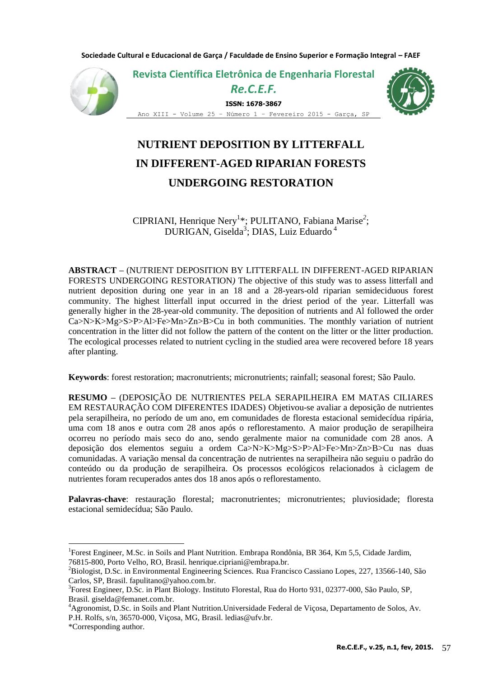**Sociedade Cultural e Educacional de Garça / Faculdade de Ensino Superior e Formação Integral – FAEF**



**Revista Científica Eletrônica de Engenharia Florestal** 

## *Re.C.E.F.*

**ISSN: 1678-3867**



Ano XIII - Volume 25 – Número 1 – Fevereiro 2015 - Garça, SP

# **NUTRIENT DEPOSITION BY LITTERFALL IN DIFFERENT-AGED RIPARIAN FORESTS UNDERGOING RESTORATION**

CIPRIANI, Henrique Nery<sup>1</sup>\*; PULITANO, Fabiana Marise<sup>2</sup>; DURIGAN, Giselda<sup>3</sup>; DIAS, Luiz Eduardo<sup>4</sup>

**ABSTRACT –** (NUTRIENT DEPOSITION BY LITTERFALL IN DIFFERENT-AGED RIPARIAN FORESTS UNDERGOING RESTORATION*)* The objective of this study was to assess litterfall and nutrient deposition during one year in an 18 and a 28-years-old riparian semideciduous forest community. The highest litterfall input occurred in the driest period of the year. Litterfall was generally higher in the 28-year-old community. The deposition of nutrients and Al followed the order Ca>N>K>Mg>S>P>Al>Fe>Mn>Zn>B>Cu in both communities. The monthly variation of nutrient concentration in the litter did not follow the pattern of the content on the litter or the litter production. The ecological processes related to nutrient cycling in the studied area were recovered before 18 years after planting.

**Keywords**: forest restoration; macronutrients; micronutrients; rainfall; seasonal forest; São Paulo.

**RESUMO –** (DEPOSIÇÃO DE NUTRIENTES PELA SERAPILHEIRA EM MATAS CILIARES EM RESTAURAÇÃO COM DIFERENTES IDADES) Objetivou-se avaliar a deposição de nutrientes pela serapilheira, no período de um ano, em comunidades de floresta estacional semidecídua ripária, uma com 18 anos e outra com 28 anos após o reflorestamento. A maior produção de serapilheira ocorreu no período mais seco do ano, sendo geralmente maior na comunidade com 28 anos. A deposição dos elementos seguiu a ordem Ca>N>K>Mg>S>P>Al>Fe>Mn>Zn>B>Cu nas duas comunidadas. A variação mensal da concentração de nutrientes na serapilheira não seguiu o padrão do conteúdo ou da produção de serapilheira. Os processos ecológicos relacionados à ciclagem de nutrientes foram recuperados antes dos 18 anos após o reflorestamento*.*

Palavras-chave: restauração florestal; macronutrientes; micronutrientes; pluviosidade; floresta estacional semidecídua; São Paulo.

<u>.</u>

<sup>&</sup>lt;sup>1</sup>Forest Engineer, M.Sc. in Soils and Plant Nutrition. Embrapa Rondônia, BR 364, Km 5,5, Cidade Jardim, 76815-800, Porto Velho, RO, Brasil. henrique.cipriani@embrapa.br.

<sup>2</sup>Biologist, D.Sc. in Environmental Engineering Sciences. Rua Francisco Cassiano Lopes, 227, 13566-140, São Carlos, SP, Brasil. fapulitano@yahoo.com.br.

<sup>3</sup> Forest Engineer, D.Sc. in Plant Biology. Instituto Florestal, Rua do Horto 931, 02377-000, São Paulo, SP, Brasil. giselda@femanet.com.br.

<sup>4</sup>Agronomist, D.Sc. in Soils and Plant Nutrition.Universidade Federal de Viçosa, Departamento de Solos, Av. P.H. Rolfs, s/n, 36570-000, Viçosa, MG, Brasil. ledias@ufv.br.

<sup>\*</sup>Corresponding author.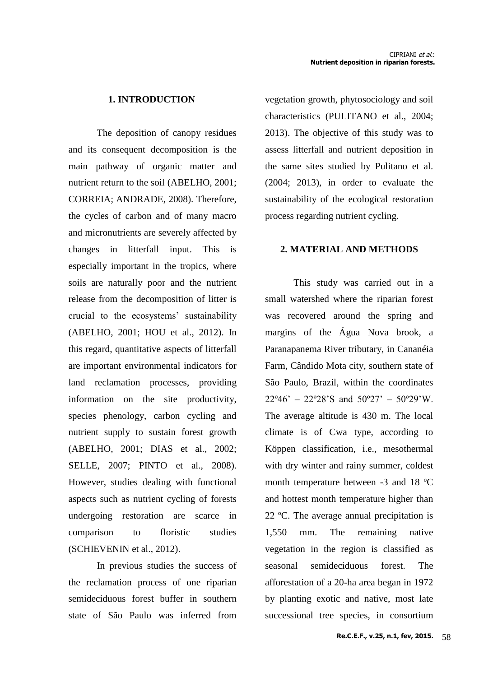## **1. INTRODUCTION**

The deposition of canopy residues and its consequent decomposition is the main pathway of organic matter and nutrient return to the soil (ABELHO, 2001; CORREIA; ANDRADE, 2008). Therefore, the cycles of carbon and of many macro and micronutrients are severely affected by changes in litterfall input. This is especially important in the tropics, where soils are naturally poor and the nutrient release from the decomposition of litter is crucial to the ecosystems' sustainability (ABELHO, 2001; HOU et al., 2012). In this regard, quantitative aspects of litterfall are important environmental indicators for land reclamation processes, providing information on the site productivity, species phenology, carbon cycling and nutrient supply to sustain forest growth (ABELHO, 2001; DIAS et al., 2002; SELLE, 2007; PINTO et al., 2008). However, studies dealing with functional aspects such as nutrient cycling of forests undergoing restoration are scarce in comparison to floristic studies (SCHIEVENIN et al., 2012).

In previous studies the success of the reclamation process of one riparian semideciduous forest buffer in southern state of São Paulo was inferred from

vegetation growth, phytosociology and soil characteristics (PULITANO et al., 2004; 2013). The objective of this study was to assess litterfall and nutrient deposition in the same sites studied by Pulitano et al. (2004; 2013), in order to evaluate the sustainability of the ecological restoration process regarding nutrient cycling.

## **2. MATERIAL AND METHODS**

This study was carried out in a small watershed where the riparian forest was recovered around the spring and margins of the Água Nova brook, a Paranapanema River tributary, in Cananéia Farm, Cândido Mota city, southern state of São Paulo, Brazil, within the coordinates  $22^{\circ}46' - 22^{\circ}28'S$  and  $50^{\circ}27' - 50^{\circ}29'W$ . The average altitude is 430 m. The local climate is of Cwa type, according to Köppen classification, i.e., mesothermal with dry winter and rainy summer, coldest month temperature between -3 and 18 ºC and hottest month temperature higher than 22 ºC. The average annual precipitation is 1,550 mm. The remaining native vegetation in the region is classified as seasonal semideciduous forest. The afforestation of a 20-ha area began in 1972 by planting exotic and native, most late successional tree species, in consortium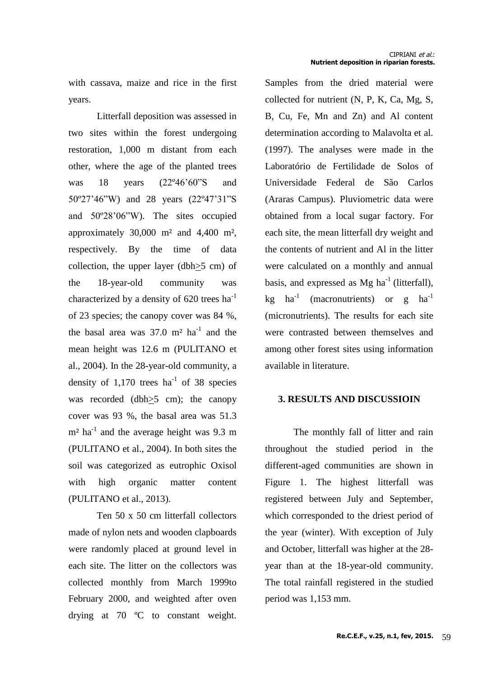with cassava, maize and rice in the first years.

Litterfall deposition was assessed in two sites within the forest undergoing restoration, 1,000 m distant from each other, where the age of the planted trees was 18 years (22º46'60"S and 50º27'46"W) and 28 years (22º47'31"S and 50º28'06"W). The sites occupied approximately  $30,000$  m<sup>2</sup> and  $4,400$  m<sup>2</sup>, respectively. By the time of data collection, the upper layer (dbh>5 cm) of the 18-year-old community was characterized by a density of  $620$  trees ha<sup>-1</sup> of 23 species; the canopy cover was 84 %, the basal area was  $37.0 \text{ m}^2$  ha<sup>-1</sup> and the mean height was 12.6 m (PULITANO et al., 2004). In the 28-year-old community, a density of  $1,170$  trees ha<sup>-1</sup> of 38 species was recorded (dbh>5 cm); the canopy cover was 93 %, the basal area was 51.3  $m<sup>2</sup>$  ha<sup>-1</sup> and the average height was 9.3 m (PULITANO et al., 2004). In both sites the soil was categorized as eutrophic Oxisol with high organic matter content (PULITANO et al., 2013).

Ten 50 x 50 cm litterfall collectors made of nylon nets and wooden clapboards were randomly placed at ground level in each site. The litter on the collectors was collected monthly from March 1999to February 2000, and weighted after oven drying at 70 ºC to constant weight. Samples from the dried material were collected for nutrient (N, P, K, Ca, Mg, S, B, Cu, Fe, Mn and Zn) and Al content determination according to Malavolta et al. (1997). The analyses were made in the Laboratório de Fertilidade de Solos of Universidade Federal de São Carlos (Araras Campus). Pluviometric data were obtained from a local sugar factory. For each site, the mean litterfall dry weight and the contents of nutrient and Al in the litter were calculated on a monthly and annual basis, and expressed as  $Mg$  ha<sup>-1</sup> (litterfall), kg ha<sup>-1</sup> (macronutrients) or g ha<sup>-1</sup> (micronutrients). The results for each site were contrasted between themselves and among other forest sites using information available in literature.

## **3. RESULTS AND DISCUSSIOIN**

The monthly fall of litter and rain throughout the studied period in the different-aged communities are shown in Figure 1. The highest litterfall was registered between July and September, which corresponded to the driest period of the year (winter). With exception of July and October, litterfall was higher at the 28 year than at the 18-year-old community. The total rainfall registered in the studied period was 1,153 mm.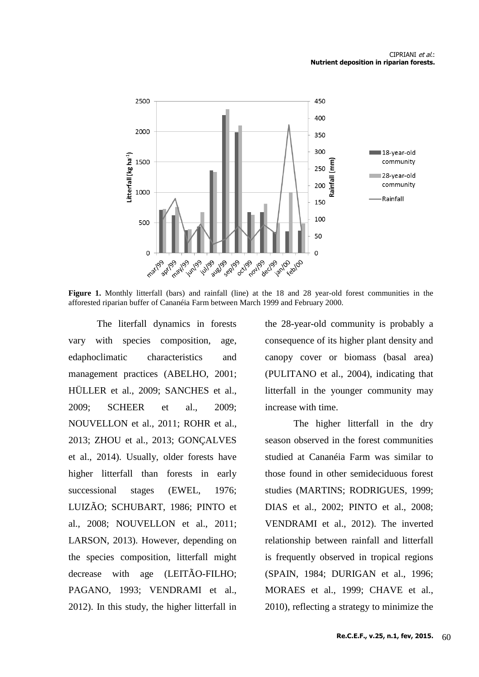#### CIPRIANI et al.: **Nutrient deposition in riparian forests.**



**Figure 1.** Monthly litterfall (bars) and rainfall (line) at the 18 and 28 year-old forest communities in the afforested riparian buffer of Cananéia Farm between March 1999 and February 2000.

The literfall dynamics in forests vary with species composition, age, edaphoclimatic characteristics and management practices (ABELHO, 2001; HÜLLER et al., 2009; SANCHES et al., 2009; SCHEER et al., 2009; NOUVELLON et al., 2011; ROHR et al., 2013; ZHOU et al., 2013; GONÇALVES et al., 2014). Usually, older forests have higher litterfall than forests in early successional stages (EWEL, 1976; LUIZÃO; SCHUBART, 1986; PINTO et al., 2008; NOUVELLON et al., 2011; LARSON, 2013). However, depending on the species composition, litterfall might decrease with age (LEITÃO-FILHO; PAGANO, 1993; VENDRAMI et al., 2012). In this study, the higher litterfall in the 28-year-old community is probably a consequence of its higher plant density and canopy cover or biomass (basal area) (PULITANO et al., 2004), indicating that litterfall in the younger community may increase with time.

The higher litterfall in the dry season observed in the forest communities studied at Cananéia Farm was similar to those found in other semideciduous forest studies (MARTINS; RODRIGUES, 1999; DIAS et al., 2002; PINTO et al., 2008; VENDRAMI et al., 2012). The inverted relationship between rainfall and litterfall is frequently observed in tropical regions (SPAIN, 1984; DURIGAN et al., 1996; MORAES et al., 1999; CHAVE et al., 2010), reflecting a strategy to minimize the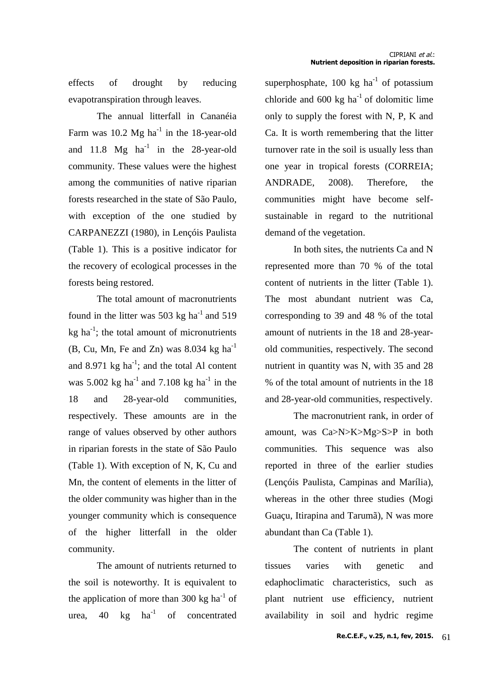effects of drought by reducing evapotranspiration through leaves.

The annual litterfall in Cananéia Farm was  $10.2 \text{ Mg ha}^{-1}$  in the 18-year-old and  $11.8$  Mg ha<sup>-1</sup> in the 28-year-old community. These values were the highest among the communities of native riparian forests researched in the state of São Paulo, with exception of the one studied by CARPANEZZI (1980), in Lençóis Paulista (Table 1). This is a positive indicator for the recovery of ecological processes in the forests being restored.

The total amount of macronutrients found in the litter was 503 kg ha<sup>-1</sup> and 519  $kg$  ha<sup>-1</sup>; the total amount of micronutrients (B, Cu, Mn, Fe and Zn) was  $8.034$  kg ha<sup>-1</sup> and 8.971  $kg$  ha<sup>-1</sup>; and the total Al content was  $5.002$  kg ha<sup>-1</sup> and  $7.108$  kg ha<sup>-1</sup> in the 18 and 28-year-old communities, respectively. These amounts are in the range of values observed by other authors in riparian forests in the state of São Paulo (Table 1). With exception of N, K, Cu and Mn, the content of elements in the litter of the older community was higher than in the younger community which is consequence of the higher litterfall in the older community.

The amount of nutrients returned to the soil is noteworthy. It is equivalent to the application of more than 300 kg  $ha^{-1}$  of urea,  $40 \text{ kg} \text{ ha}^{-1}$ of concentrated

superphosphate,  $100 \text{ kg}$  ha<sup>-1</sup> of potassium chloride and  $600 \text{ kg ha}^{-1}$  of dolomitic lime only to supply the forest with N, P, K and Ca. It is worth remembering that the litter turnover rate in the soil is usually less than one year in tropical forests (CORREIA; ANDRADE, 2008). Therefore, the communities might have become selfsustainable in regard to the nutritional demand of the vegetation.

In both sites, the nutrients Ca and N represented more than 70 % of the total content of nutrients in the litter (Table 1). The most abundant nutrient was Ca, corresponding to 39 and 48 % of the total amount of nutrients in the 18 and 28-yearold communities, respectively. The second nutrient in quantity was N, with 35 and 28 % of the total amount of nutrients in the 18 and 28-year-old communities, respectively.

The macronutrient rank, in order of amount, was Ca>N>K>Mg>S>P in both communities. This sequence was also reported in three of the earlier studies (Lençóis Paulista, Campinas and Marília), whereas in the other three studies (Mogi Guaçu, Itirapina and Tarumã), N was more abundant than Ca (Table 1).

The content of nutrients in plant tissues varies with genetic and edaphoclimatic characteristics, such as plant nutrient use efficiency, nutrient availability in soil and hydric regime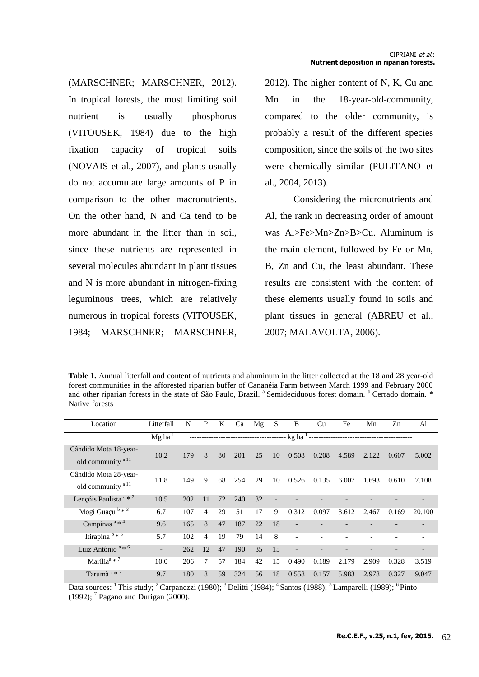(MARSCHNER; MARSCHNER, 2012). In tropical forests, the most limiting soil nutrient is usually phosphorus (VITOUSEK, 1984) due to the high fixation capacity of tropical soils (NOVAIS et al., 2007), and plants usually do not accumulate large amounts of P in comparison to the other macronutrients. On the other hand, N and Ca tend to be more abundant in the litter than in soil, since these nutrients are represented in several molecules abundant in plant tissues and N is more abundant in nitrogen-fixing leguminous trees, which are relatively numerous in tropical forests (VITOUSEK, 1984; MARSCHNER; MARSCHNER, 2012). The higher content of N, K, Cu and Mn in the 18-year-old-community, compared to the older community, is probably a result of the different species composition, since the soils of the two sites were chemically similar (PULITANO et al., 2004, 2013).

Considering the micronutrients and Al, the rank in decreasing order of amount was Al>Fe>Mn>Zn>B>Cu. Aluminum is the main element, followed by Fe or Mn, B, Zn and Cu, the least abundant. These results are consistent with the content of these elements usually found in soils and plant tissues in general (ABREU et al., 2007; MALAVOLTA, 2006).

**Table 1.** Annual litterfall and content of nutrients and aluminum in the litter collected at the 18 and 28 year-old forest communities in the afforested riparian buffer of Cananéia Farm between March 1999 and February 2000 and other riparian forests in the state of São Paulo, Brazil. <sup>a</sup> Semideciduous forest domain. <sup>b</sup> Cerrado domain. \* Native forests

| Location                                               | Litterfall            | N   | $\mathbf{P}$   | K  | Ca  | Mg | S              | B                           | Cu    | Fe    | Mn    | Zn    | Al     |
|--------------------------------------------------------|-----------------------|-----|----------------|----|-----|----|----------------|-----------------------------|-------|-------|-------|-------|--------|
|                                                        | $Mg$ ha <sup>-T</sup> |     |                |    |     |    |                | $-$ kg ha <sup>-1</sup> $-$ |       |       |       |       |        |
| Cândido Mota 18-year-<br>old community <sup>a 11</sup> | 10.2                  | 179 | 8              | 80 | 201 | 25 | 10             | 0.508                       | 0.208 | 4.589 | 2.122 | 0.607 | 5.002  |
| Cândido Mota 28-year-<br>old community <sup>a 11</sup> | 11.8                  | 149 | 9              | 68 | 254 | 29 | 10             | 0.526                       | 0.135 | 6.007 | 1.693 | 0.610 | 7.108  |
| Lençóis Paulista $a * 2$                               | 10.5                  | 202 | 11             | 72 | 240 | 32 | $\overline{a}$ |                             |       |       |       |       |        |
| Mogi Guaçu b * 3                                       | 6.7                   | 107 | 4              | 29 | 51  | 17 | 9              | 0.312                       | 0.097 | 3.612 | 2.467 | 0.169 | 20.100 |
| Campinas $a * 4$                                       | 9.6                   | 165 | 8              | 47 | 187 | 22 | 18             |                             |       |       |       |       |        |
| Itirapina $\frac{b*5}{b*5}$                            | 5.7                   | 102 | $\overline{4}$ | 19 | 79  | 14 | 8              | $\overline{\phantom{a}}$    |       |       |       |       |        |
| Luiz Antônio <sup>a</sup> * <sup>6</sup>               | $\overline{a}$        | 262 | 12             | 47 | 190 | 35 | 15             | $\qquad \qquad -$           |       |       |       |       |        |
| Marília <sup>a * 7</sup>                               | 10.0                  | 206 | 7              | 57 | 184 | 42 | 15             | 0.490                       | 0.189 | 2.179 | 2.909 | 0.328 | 3.519  |
| Tarumã <sup>a * 7</sup>                                | 9.7                   | 180 | 8              | 59 | 324 | 56 | 18             | 0.558                       | 0.157 | 5.983 | 2.978 | 0.327 | 9.047  |

Data sources: <sup>1</sup> This study; <sup>2</sup> Carpanezzi (1980); <sup>3</sup> Delitti (1984); <sup>4</sup> Santos (1988); <sup>5</sup> Lamparelli (1989); <sup>6</sup> Pinto (1992);  $<sup>7</sup>$  Pagano and Durigan (2000).</sup>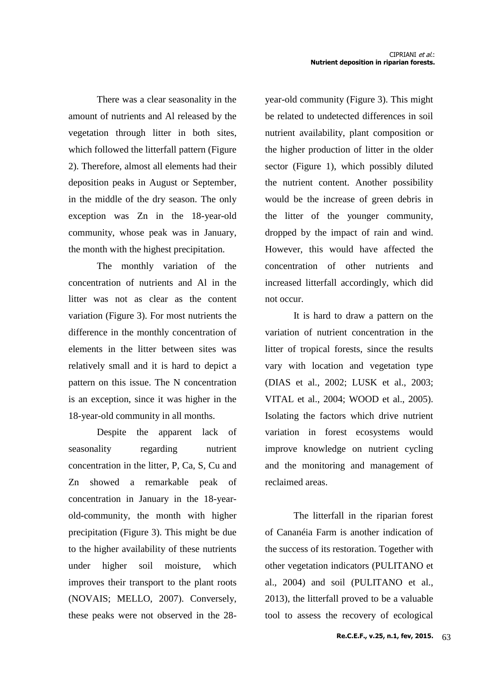There was a clear seasonality in the amount of nutrients and Al released by the vegetation through litter in both sites, which followed the litterfall pattern (Figure 2). Therefore, almost all elements had their deposition peaks in August or September, in the middle of the dry season. The only exception was Zn in the 18-year-old community, whose peak was in January, the month with the highest precipitation.

The monthly variation of the concentration of nutrients and Al in the litter was not as clear as the content variation (Figure 3). For most nutrients the difference in the monthly concentration of elements in the litter between sites was relatively small and it is hard to depict a pattern on this issue. The N concentration is an exception, since it was higher in the 18-year-old community in all months.

Despite the apparent lack of seasonality regarding nutrient concentration in the litter, P, Ca, S, Cu and Zn showed a remarkable peak of concentration in January in the 18-yearold-community, the month with higher precipitation (Figure 3). This might be due to the higher availability of these nutrients under higher soil moisture, which improves their transport to the plant roots (NOVAIS; MELLO, 2007). Conversely, these peaks were not observed in the 28year-old community (Figure 3). This might be related to undetected differences in soil nutrient availability, plant composition or the higher production of litter in the older sector (Figure 1), which possibly diluted the nutrient content. Another possibility would be the increase of green debris in the litter of the younger community, dropped by the impact of rain and wind. However, this would have affected the concentration of other nutrients and increased litterfall accordingly, which did not occur.

It is hard to draw a pattern on the variation of nutrient concentration in the litter of tropical forests, since the results vary with location and vegetation type (DIAS et al., 2002; LUSK et al., 2003; VITAL et al., 2004; WOOD et al., 2005). Isolating the factors which drive nutrient variation in forest ecosystems would improve knowledge on nutrient cycling and the monitoring and management of reclaimed areas.

The litterfall in the riparian forest of Cananéia Farm is another indication of the success of its restoration. Together with other vegetation indicators (PULITANO et al., 2004) and soil (PULITANO et al., 2013), the litterfall proved to be a valuable tool to assess the recovery of ecological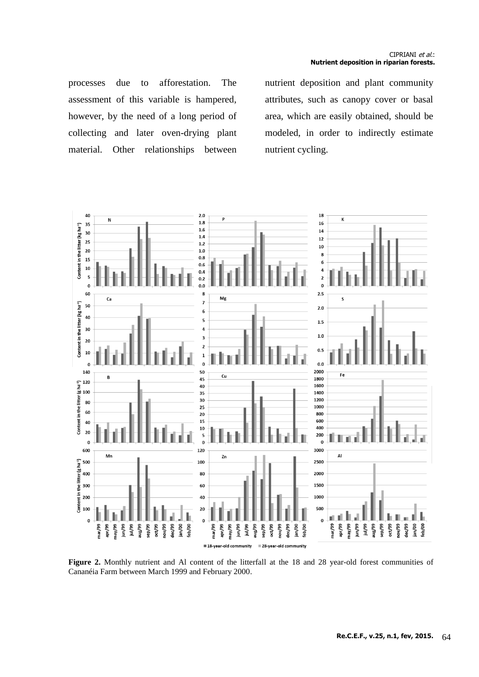processes due to afforestation. The assessment of this variable is hampered, however, by the need of a long period of collecting and later oven-drying plant material. Other relationships between

nutrient deposition and plant community attributes, such as canopy cover or basal area, which are easily obtained, should be modeled, in order to indirectly estimate nutrient cycling.



**Figure 2.** Monthly nutrient and Al content of the litterfall at the 18 and 28 year-old forest communities of Cananéia Farm between March 1999 and February 2000.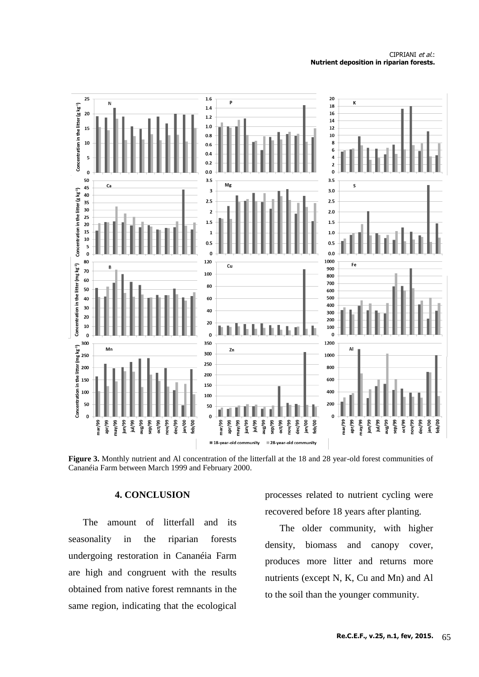#### CIPRIANI et al.: **Nutrient deposition in riparian forests.**



**Figure 3.** Monthly nutrient and Al concentration of the litterfall at the 18 and 28 year-old forest communities of Cananéia Farm between March 1999 and February 2000.

### **4. CONCLUSION**

The amount of litterfall and its seasonality in the riparian forests undergoing restoration in Cananéia Farm are high and congruent with the results obtained from native forest remnants in the same region, indicating that the ecological

processes related to nutrient cycling were recovered before 18 years after planting.

The older community, with higher density, biomass and canopy cover, produces more litter and returns more nutrients (except N, K, Cu and Mn) and Al to the soil than the younger community.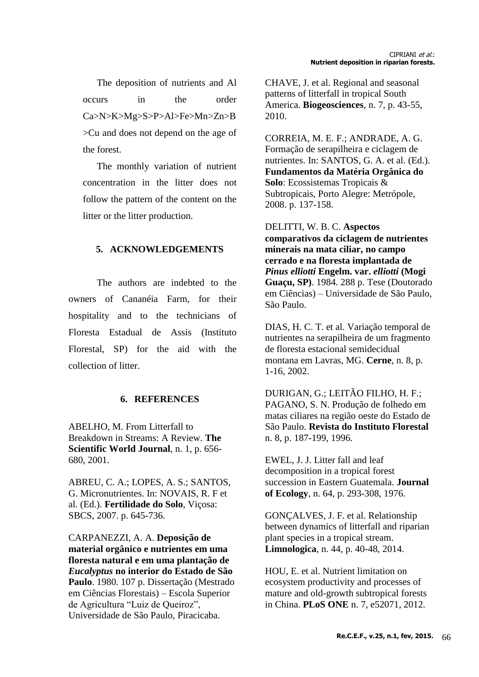The deposition of nutrients and Al occurs in the order Ca>N>K>Mg>S>P>Al>Fe>Mn>Zn>B >Cu and does not depend on the age of the forest.

The monthly variation of nutrient concentration in the litter does not follow the pattern of the content on the litter or the litter production.

## **5. ACKNOWLEDGEMENTS**

The authors are indebted to the owners of Cananéia Farm, for their hospitality and to the technicians of Floresta Estadual de Assis (Instituto Florestal, SP) for the aid with the collection of litter.

## **6. REFERENCES**

ABELHO, M. From Litterfall to Breakdown in Streams: A Review. **The Scientific World Journal**, n. 1, p. 656- 680, 2001.

ABREU, C. A.; LOPES, A. S.; SANTOS, G. Micronutrientes. In: NOVAIS, R. F et al. (Ed.). **Fertilidade do Solo**, Viçosa: SBCS, 2007. p. 645-736.

CARPANEZZI, A. A. **Deposição de material orgânico e nutrientes em uma floresta natural e em uma plantação de**  *Eucalyptus* **no interior do Estado de São Paulo**. 1980. 107 p. Dissertação (Mestrado em Ciências Florestais) – Escola Superior de Agricultura "Luiz de Queiroz", Universidade de São Paulo, Piracicaba.

CHAVE, J. et al. Regional and seasonal patterns of litterfall in tropical South America. **Biogeosciences**, n. 7, p. 43-55, 2010.

CORREIA, M. E. F.; ANDRADE, A. G. Formação de serapilheira e ciclagem de nutrientes. In: SANTOS, G. A. et al. (Ed.). **Fundamentos da Matéria Orgânica do Solo**: Ecossistemas Tropicais & Subtropicais, Porto Alegre: Metrópole, 2008. p. 137-158.

DELITTI, W. B. C. **Aspectos comparativos da ciclagem de nutrientes minerais na mata ciliar, no campo cerrado e na floresta implantada de**  *Pinus elliotti* **Engelm. var.** *elliotti* **(Mogi Guaçu, SP)**. 1984. 288 p. Tese (Doutorado em Ciências) – Universidade de São Paulo, São Paulo.

DIAS, H. C. T. et al. Variação temporal de nutrientes na serapilheira de um fragmento de floresta estacional semidecidual montana em Lavras, MG. **Cerne**, n. 8, p. 1-16, 2002.

DURIGAN, G.; LEITÃO FILHO, H. F.; PAGANO, S. N. Produção de folhedo em matas ciliares na região oeste do Estado de São Paulo. **Revista do Instituto Florestal** n. 8, p. 187-199, 1996.

EWEL, J. J. Litter fall and leaf decomposition in a tropical forest succession in Eastern Guatemala. **Journal of Ecology**, n. 64, p. 293-308, 1976.

GONÇALVES, J. F. et al. Relationship between dynamics of litterfall and riparian plant species in a tropical stream. **Limnologica**, n. 44, p. 40-48, 2014.

HOU, E. et al. Nutrient limitation on ecosystem productivity and processes of mature and old-growth subtropical forests in China. **PLoS ONE** n. 7, e52071, 2012.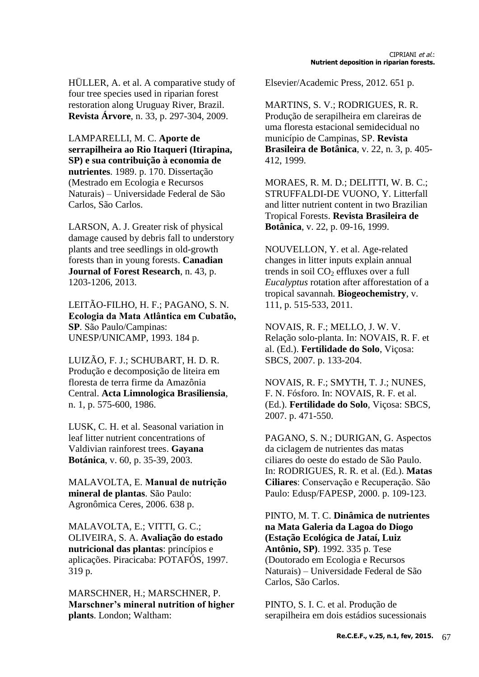HÜLLER, A. et al. A comparative study of four tree species used in riparian forest restoration along Uruguay River, Brazil. **Revista Árvore**, n. 33, p. 297-304, 2009.

LAMPARELLI, M. C. **Aporte de serrapilheira ao Rio Itaqueri (Itirapina, SP) e sua contribuição à economia de nutrientes**. 1989. p. 170. Dissertação (Mestrado em Ecologia e Recursos Naturais) – Universidade Federal de São Carlos, São Carlos.

LARSON, A. J. Greater risk of physical damage caused by debris fall to understory plants and tree seedlings in old-growth forests than in young forests. **Canadian Journal of Forest Research**, n. 43, p. 1203-1206, 2013.

LEITÃO-FILHO, H. F.; PAGANO, S. N. Ecologia da Mata Atlântica em Cubatão, **SP**. São Paulo/Campinas: UNESP/UNICAMP, 1993. 184 p.

LUIZÃO, F. J.; SCHUBART, H. D. R. Produção e decomposição de liteira em floresta de terra firme da Amazônia Central. **Acta Limnologica Brasiliensia**, n. 1, p. 575-600, 1986.

LUSK, C. H. et al. Seasonal variation in leaf litter nutrient concentrations of Valdivian rainforest trees. **Gayana Botánica**, v. 60, p. 35-39, 2003.

MALAVOLTA, E. **mineral de plantas**. São Paulo: Agronômica Ceres, 2006. 638 p.

MALAVOLTA, E.; VITTI, G. C.; OLIVEIRA, S. A. **Avaliação do estado nutricional das plantas**: princípios e aplicações. Piracicaba: POTAFÓS, 1997. 319 p.

MARSCHNER, H.; MARSCHNER, P. **Marschner's mineral nutrition of higher plants**. London; Waltham:

Elsevier/Academic Press, 2012. 651 p.

MARTINS, S. V.; RODRIGUES, R. R. Produção de serapilheira em clareiras de uma floresta estacional semidecidual no município de Campinas, SP. **Revista Brasileira de Botânica**, v. 22, n. 3, p. 405- 412, 1999.

MORAES, R. M. D.; DELITTI, W. B. C.; STRUFFALDI-DE VUONO, Y. Litterfall and litter nutrient content in two Brazilian Tropical Forests. **Revista Brasileira de Botânica**, v. 22, p. 09-16, 1999.

NOUVELLON, Y. et al. Age-related changes in litter inputs explain annual trends in soil  $CO<sub>2</sub>$  effluxes over a full *Eucalyptus* rotation after afforestation of a tropical savannah. **Biogeochemistry**, v. 111, p. 515-533, 2011.

NOVAIS, R. F.; MELLO, J. W. V. Relação solo-planta. In: NOVAIS, R. F. et al. (Ed.). **Fertilidade do Solo**, Viçosa: SBCS, 2007. p. 133-204.

NOVAIS, R. F.; SMYTH, T. J.; NUNES, F. N. Fósforo. In: NOVAIS, R. F. et al. (Ed.). **Fertilidade do Solo**, Viçosa: SBCS, 2007. p. 471-550.

PAGANO, S. N.; DURIGAN, G. Aspectos da ciclagem de nutrientes das matas ciliares do oeste do estado de São Paulo. In: RODRIGUES, R. R. et al. (Ed.). **Matas Ciliares**: Conservação e Recuperação. São Paulo: Edusp/FAPESP, 2000. p. 109-123.

PINTO, M. T. C. **Dinâmica de nutrientes na Mata Galeria da Lagoa do Diogo (Estação Ecológica de Jataí, Luiz Antônio, SP)**. 1992. 335 p. Tese (Doutorado em Ecologia e Recursos Naturais) – Universidade Federal de São Carlos, São Carlos.

PINTO, S. I. C. et al. Produção de serapilheira em dois estádios sucessionais